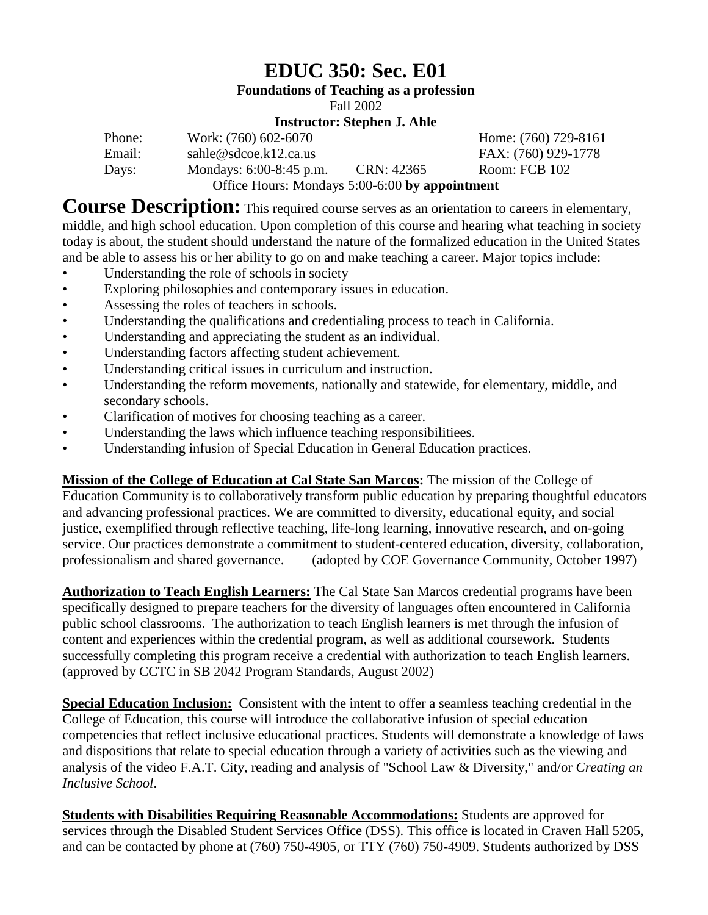# **EDUC 350: Sec. E01**

**Foundations of Teaching as a profession**

Fall 2002

#### **Instructor: Stephen J. Ahle**

| Phone: | Work: (760) 602-6070                           |            | Home: (760) 729-8161 |
|--------|------------------------------------------------|------------|----------------------|
| Email: | sahle@sdcoe.k12.ca.us                          |            | FAX: (760) 929-1778  |
| Days:  | Mondays: $6:00-8:45$ p.m.                      | CRN: 42365 | Room: FCB 102        |
|        | Office Hours: Mondays 5:00-6:00 by appointment |            |                      |

**Course Description:** This required course serves as an orientation to careers in elementary, middle, and high school education. Upon completion of this course and hearing what teaching in society today is about, the student should understand the nature of the formalized education in the United States and be able to assess his or her ability to go on and make teaching a career. Major topics include:

- Understanding the role of schools in society
- Exploring philosophies and contemporary issues in education.
- Assessing the roles of teachers in schools.
- Understanding the qualifications and credentialing process to teach in California.
- Understanding and appreciating the student as an individual.<br>• Inderstanding factors affecting student achievement
- Understanding factors affecting student achievement.
- Understanding critical issues in curriculum and instruction.
- Understanding the reform movements, nationally and statewide, for elementary, middle, and secondary schools.
- Clarification of motives for choosing teaching as a career.
- Understanding the laws which influence teaching responsibilitiees.
- Understanding infusion of Special Education in General Education practices.

**Mission of the College of Education at Cal State San Marcos:** The mission of the College of Education Community is to collaboratively transform public education by preparing thoughtful educators and advancing professional practices. We are committed to diversity, educational equity, and social justice, exemplified through reflective teaching, life-long learning, innovative research, and on-going service. Our practices demonstrate a commitment to student-centered education, diversity, collaboration, professionalism and shared governance. (adopted by COE Governance Community, October 1997)

**Authorization to Teach English Learners:** The Cal State San Marcos credential programs have been specifically designed to prepare teachers for the diversity of languages often encountered in California public school classrooms. The authorization to teach English learners is met through the infusion of content and experiences within the credential program, as well as additional coursework. Students successfully completing this program receive a credential with authorization to teach English learners. (approved by CCTC in SB 2042 Program Standards, August 2002)

**Special Education Inclusion:** Consistent with the intent to offer a seamless teaching credential in the College of Education, this course will introduce the collaborative infusion of special education competencies that reflect inclusive educational practices. Students will demonstrate a knowledge of laws and dispositions that relate to special education through a variety of activities such as the viewing and analysis of the video F.A.T. City, reading and analysis of "School Law & Diversity," and/or *Creating an Inclusive School*.

**Students with Disabilities Requiring Reasonable Accommodations:** Students are approved for services through the Disabled Student Services Office (DSS). This office is located in Craven Hall 5205, and can be contacted by phone at (760) 750-4905, or TTY (760) 750-4909. Students authorized by DSS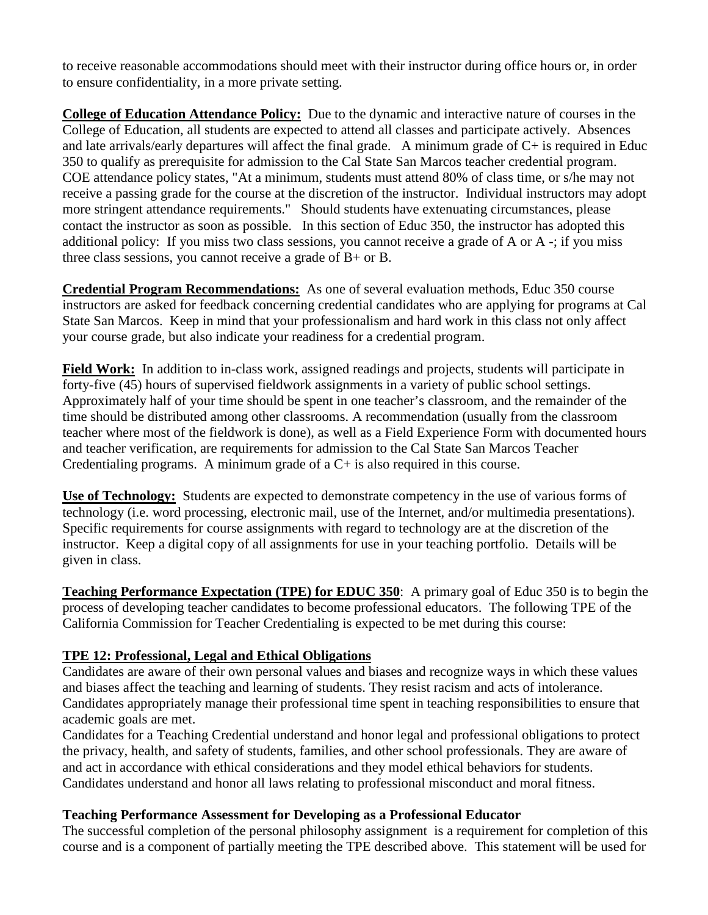to receive reasonable accommodations should meet with their instructor during office hours or, in order to ensure confidentiality, in a more private setting.

**College of Education Attendance Policy:** Due to the dynamic and interactive nature of courses in the College of Education, all students are expected to attend all classes and participate actively. Absences and late arrivals/early departures will affect the final grade. A minimum grade of C+ is required in Educ 350 to qualify as prerequisite for admission to the Cal State San Marcos teacher credential program. COE attendance policy states, "At a minimum, students must attend 80% of class time, or s/he may not receive a passing grade for the course at the discretion of the instructor. Individual instructors may adopt more stringent attendance requirements." Should students have extenuating circumstances, please contact the instructor as soon as possible. In this section of Educ 350, the instructor has adopted this additional policy: If you miss two class sessions, you cannot receive a grade of A or A -; if you miss three class sessions, you cannot receive a grade of B+ or B.

**Credential Program Recommendations:** As one of several evaluation methods, Educ 350 course instructors are asked for feedback concerning credential candidates who are applying for programs at Cal State San Marcos. Keep in mind that your professionalism and hard work in this class not only affect your course grade, but also indicate your readiness for a credential program.

**Field Work:** In addition to in-class work, assigned readings and projects, students will participate in forty-five (45) hours of supervised fieldwork assignments in a variety of public school settings. Approximately half of your time should be spent in one teacher's classroom, and the remainder of the time should be distributed among other classrooms. A recommendation (usually from the classroom teacher where most of the fieldwork is done), as well as a Field Experience Form with documented hours and teacher verification, are requirements for admission to the Cal State San Marcos Teacher Credentialing programs. A minimum grade of  $a C<sub>+</sub>$  is also required in this course.

**Use of Technology:** Students are expected to demonstrate competency in the use of various forms of technology (i.e. word processing, electronic mail, use of the Internet, and/or multimedia presentations). Specific requirements for course assignments with regard to technology are at the discretion of the instructor. Keep a digital copy of all assignments for use in your teaching portfolio. Details will be given in class.

**Teaching Performance Expectation (TPE) for EDUC 350**: A primary goal of Educ 350 is to begin the process of developing teacher candidates to become professional educators. The following TPE of the California Commission for Teacher Credentialing is expected to be met during this course:

#### **TPE 12: Professional, Legal and Ethical Obligations**

Candidates are aware of their own personal values and biases and recognize ways in which these values and biases affect the teaching and learning of students. They resist racism and acts of intolerance. Candidates appropriately manage their professional time spent in teaching responsibilities to ensure that academic goals are met.

Candidates for a Teaching Credential understand and honor legal and professional obligations to protect the privacy, health, and safety of students, families, and other school professionals. They are aware of and act in accordance with ethical considerations and they model ethical behaviors for students. Candidates understand and honor all laws relating to professional misconduct and moral fitness.

#### **Teaching Performance Assessment for Developing as a Professional Educator**

The successful completion of the personal philosophy assignment is a requirement for completion of this course and is a component of partially meeting the TPE described above. This statement will be used for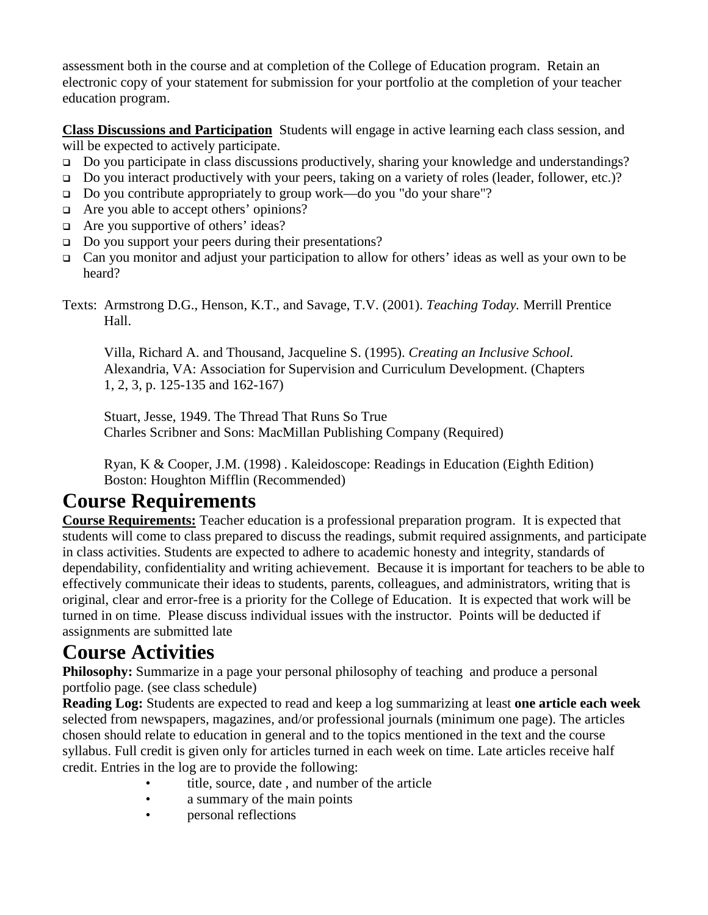assessment both in the course and at completion of the College of Education program. Retain an electronic copy of your statement for submission for your portfolio at the completion of your teacher education program.

**Class Discussions and Participation** Students will engage in active learning each class session, and will be expected to actively participate.

- Do you participate in class discussions productively, sharing your knowledge and understandings?
- Do you interact productively with your peers, taking on a variety of roles (leader, follower, etc.)?
- Do you contribute appropriately to group work—do you "do your share"?
- □ Are you able to accept others' opinions?
- $\Box$  Are you supportive of others' ideas?
- □ Do you support your peers during their presentations?
- $\Box$  Can you monitor and adjust your participation to allow for others' ideas as well as your own to be heard?

Texts: Armstrong D.G., Henson, K.T., and Savage, T.V. (2001). *Teaching Today.* Merrill Prentice Hall.

Villa, Richard A. and Thousand, Jacqueline S. (1995). *Creating an Inclusive School.* Alexandria, VA: Association for Supervision and Curriculum Development. (Chapters 1, 2, 3, p. 125-135 and 162-167)

Stuart, Jesse, 1949. The Thread That Runs So True Charles Scribner and Sons: MacMillan Publishing Company (Required)

Ryan, K & Cooper, J.M. (1998) . Kaleidoscope: Readings in Education (Eighth Edition) Boston: Houghton Mifflin (Recommended)

## **Course Requirements**

**Course Requirements:** Teacher education is a professional preparation program. It is expected that students will come to class prepared to discuss the readings, submit required assignments, and participate in class activities. Students are expected to adhere to academic honesty and integrity, standards of dependability, confidentiality and writing achievement. Because it is important for teachers to be able to effectively communicate their ideas to students, parents, colleagues, and administrators, writing that is original, clear and error-free is a priority for the College of Education. It is expected that work will be turned in on time. Please discuss individual issues with the instructor. Points will be deducted if assignments are submitted late

## **Course Activities**

**Philosophy:** Summarize in a page your personal philosophy of teaching and produce a personal portfolio page. (see class schedule)

**Reading Log:** Students are expected to read and keep a log summarizing at least **one article each week** selected from newspapers, magazines, and/or professional journals (minimum one page). The articles chosen should relate to education in general and to the topics mentioned in the text and the course syllabus. Full credit is given only for articles turned in each week on time. Late articles receive half credit. Entries in the log are to provide the following:

- title, source, date, and number of the article
- a summary of the main points
- **personal reflections**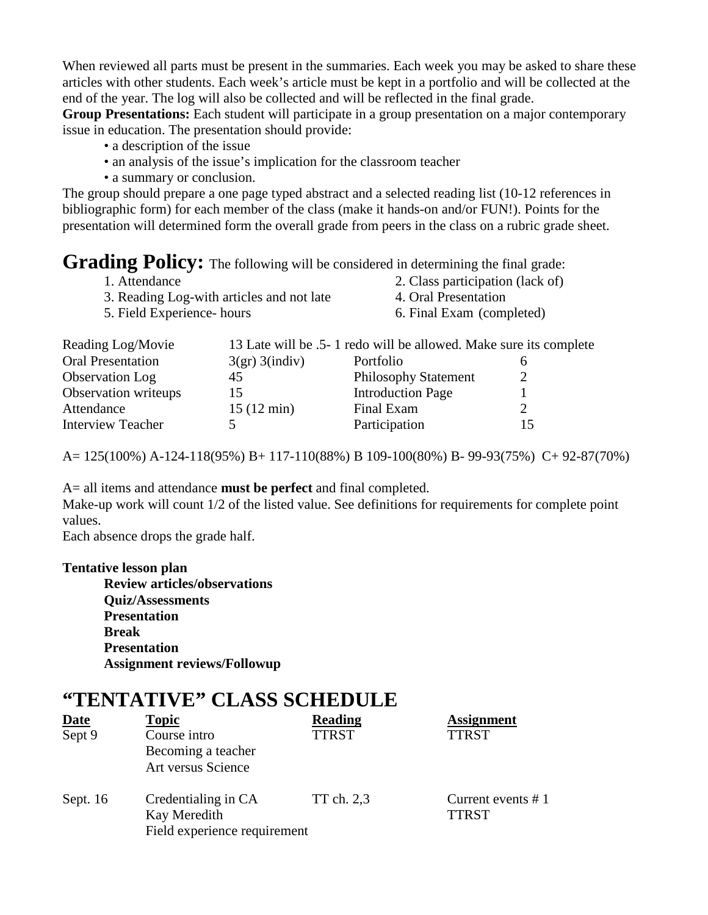When reviewed all parts must be present in the summaries. Each week you may be asked to share these articles with other students. Each week's article must be kept in a portfolio and will be collected at the end of the year. The log will also be collected and will be reflected in the final grade.

**Group Presentations:** Each student will participate in a group presentation on a major contemporary issue in education. The presentation should provide:

- a description of the issue
- an analysis of the issue's implication for the classroom teacher
- a summary or conclusion.

The group should prepare a one page typed abstract and a selected reading list (10-12 references in bibliographic form) for each member of the class (make it hands-on and/or FUN!). Points for the presentation will determined form the overall grade from peers in the class on a rubric grade sheet.

### Grading Policy: The following will be considered in determining the final grade:

| 1. Attendance                             | 2. Class participation (lack of) |
|-------------------------------------------|----------------------------------|
| 3. Reading Log-with articles and not late | 4. Oral Presentation             |
| 5. Field Experience- hours                | 6. Final Exam (completed)        |

| Reading Log/Movie        |                      | 13 Late will be .5- 1 redo will be allowed. Make sure its complete |  |
|--------------------------|----------------------|--------------------------------------------------------------------|--|
| <b>Oral Presentation</b> | 3(gr) 3(indiv)       | Portfolio                                                          |  |
| Observation Log          | 45                   | <b>Philosophy Statement</b>                                        |  |
| Observation writeups     | 15                   | <b>Introduction Page</b>                                           |  |
| Attendance               | $15(12 \text{ min})$ | Final Exam                                                         |  |
| <b>Interview Teacher</b> |                      | Participation                                                      |  |

A= 125(100%) A-124-118(95%) B+ 117-110(88%) B 109-100(80%) B- 99-93(75%) C+ 92-87(70%)

A= all items and attendance **must be perfect** and final completed. Make-up work will count 1/2 of the listed value. See definitions for requirements for complete point values.

Each absence drops the grade half.

#### **Tentative lesson plan**

**Review articles/observations Quiz/Assessments Presentation Break Presentation Assignment reviews/Followup**

### **"TENTATIVE" CLASS SCHEDULE**

| <b>Date</b> | <b>Topic</b>                 | <b>Reading</b> | <b>Assignment</b>    |
|-------------|------------------------------|----------------|----------------------|
| Sept 9      | Course intro                 | <b>TTRST</b>   | <b>TTRST</b>         |
|             | Becoming a teacher           |                |                      |
|             | Art versus Science           |                |                      |
| Sept. $16$  | Credentialing in CA          | TT ch. 2,3     | Current events $# 1$ |
|             | Kay Meredith                 |                | <b>TTRST</b>         |
|             | Field experience requirement |                |                      |